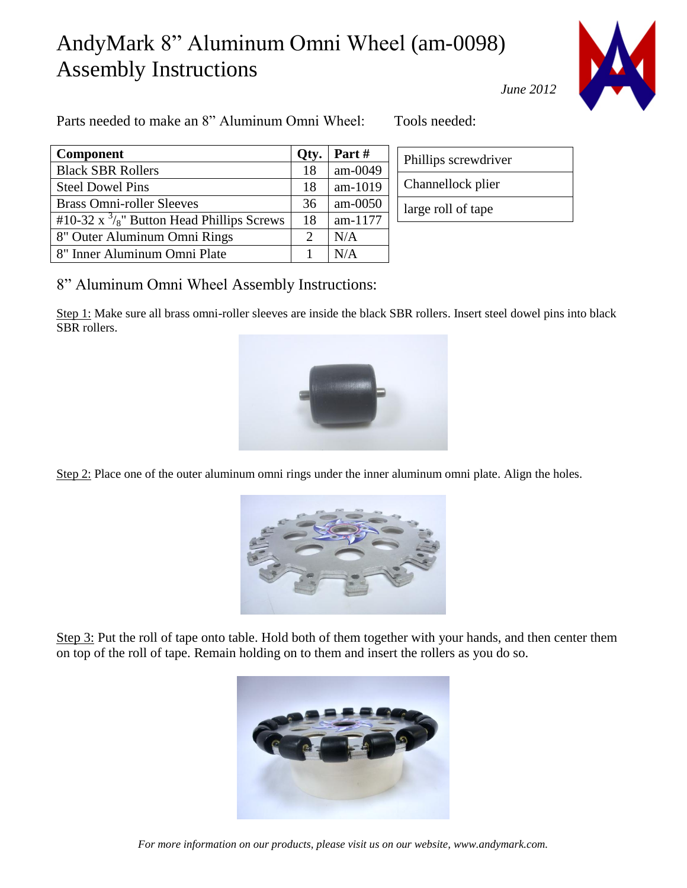## AndyMark 8" Aluminum Omni Wheel (am-0098) Assembly Instructions



Parts needed to make an 8" Aluminum Omni Wheel: Tools needed:

| <b>Component</b>                                                 | Qty. | Part#     |
|------------------------------------------------------------------|------|-----------|
| <b>Black SBR Rollers</b>                                         | 18   | am-0049   |
| <b>Steel Dowel Pins</b>                                          | 18   | am-1019   |
| <b>Brass Omni-roller Sleeves</b>                                 | 36   | $am-0050$ |
| #10-32 $\mathrm{x}^{3}/\mathrm{s}$ " Button Head Phillips Screws | 18   | am-1177   |
| 8" Outer Aluminum Omni Rings                                     | 2    | N/A       |
| 8" Inner Aluminum Omni Plate                                     |      | N/A       |

|  | Phillips screwdriver |
|--|----------------------|
|  | Channellock plier    |
|  | large roll of tape   |

*June 2012*

8" Aluminum Omni Wheel Assembly Instructions:

Step 1: Make sure all brass omni-roller sleeves are inside the black SBR rollers. Insert steel dowel pins into black SBR rollers.



Step 2: Place one of the outer aluminum omni rings under the inner aluminum omni plate. Align the holes.



Step 3: Put the roll of tape onto table. Hold both of them together with your hands, and then center them on top of the roll of tape. Remain holding on to them and insert the rollers as you do so.



*For more information on our products, please visit us on our website, www.andymark.com.*